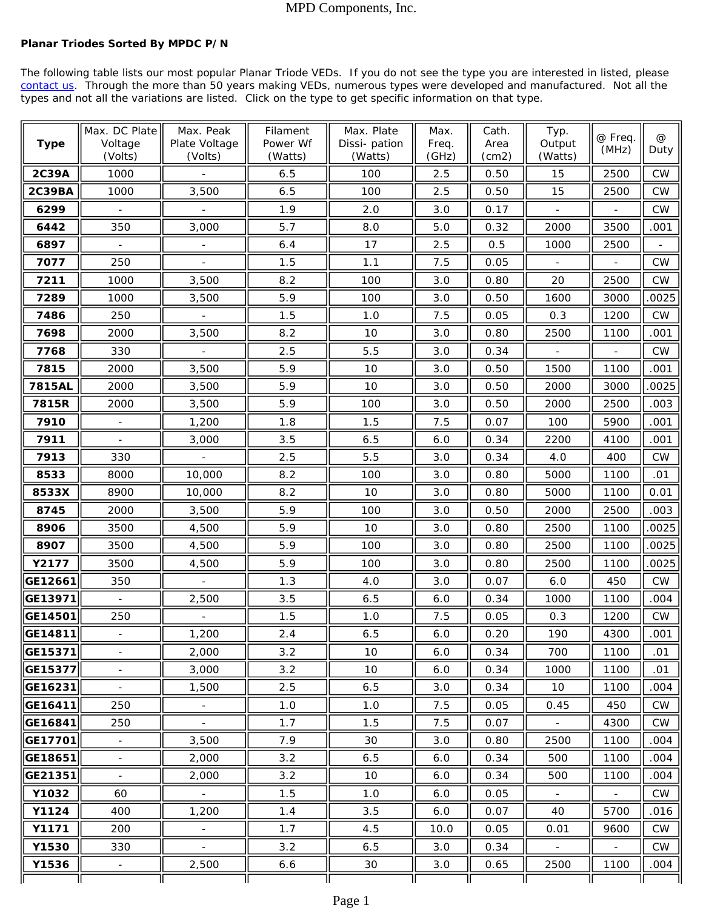## MPD Components, Inc.

## **Planar Triodes Sorted By MPDC P/N**

The following table lists our most popular Planar Triode VEDs. If you do not see the type you are interested in listed, please contact us. Through the more than 50 years making VEDs, numerous types were developed and manufactured. Not all the types and not all the variations are listed. Click on the type to get specific information on that type.

| <b>Type</b>       | Max. DC Plate<br>Voltage<br>(Volts) | Max. Peak<br>Plate Voltage<br>(Volts) | Filament<br>Power Wf<br>(Watts) | Max. Plate<br>Dissi-pation<br>(Watts) | Max.<br>Freq.<br>(GHz) | Cath.<br>Area<br>(cm2) | Typ.<br>Output<br>(Watts) | @ Freq.<br>(MHz)         | $^{\circledR}$<br>Duty |
|-------------------|-------------------------------------|---------------------------------------|---------------------------------|---------------------------------------|------------------------|------------------------|---------------------------|--------------------------|------------------------|
| 2C39A             | 1000                                |                                       | 6.5                             | 100                                   | 2.5                    | 0.50                   | 15                        | 2500                     | <b>CW</b>              |
| <b>2C39BA</b>     | 1000                                | 3,500                                 | 6.5                             | 100                                   | 2.5                    | 0.50                   | 15                        | 2500                     | <b>CW</b>              |
| 6299              |                                     |                                       | 1.9                             | 2.0                                   | 3.0                    | 0.17                   |                           |                          | <b>CW</b>              |
| 6442              | 350                                 | 3,000                                 | 5.7                             | 8.0                                   | 5.0                    | 0.32                   | 2000                      | 3500                     | .001                   |
| 6897              |                                     |                                       | 6.4                             | 17                                    | 2.5                    | 0.5                    | 1000                      | 2500                     |                        |
| 7077              | 250                                 |                                       | 1.5                             | 1.1                                   | 7.5                    | 0.05                   |                           |                          | <b>CW</b>              |
| 7211              | 1000                                | 3,500                                 | 8.2                             | 100                                   | 3.0                    | 0.80                   | 20                        | 2500                     | <b>CW</b>              |
| 7289              | 1000                                | 3,500                                 | 5.9                             | 100                                   | 3.0                    | 0.50                   | 1600                      | 3000                     | .0025                  |
| 7486              | 250                                 |                                       | 1.5                             | 1.0                                   | 7.5                    | 0.05                   | 0.3                       | 1200                     | CW                     |
| 7698              | 2000                                | 3,500                                 | 8.2                             | 10                                    | 3.0                    | 0.80                   | 2500                      | 1100                     | .001                   |
| 7768              | 330                                 |                                       | 2.5                             | 5.5                                   | 3.0                    | 0.34                   |                           |                          | <b>CW</b>              |
| 7815              | 2000                                | 3,500                                 | 5.9                             | 10                                    | 3.0                    | 0.50                   | 1500                      | 1100                     | .001                   |
| 7815AL            | 2000                                | 3,500                                 | 5.9                             | 10                                    | 3.0                    | 0.50                   | 2000                      | 3000                     | .0025                  |
| 7815R             | 2000                                | 3,500                                 | 5.9                             | 100                                   | 3.0                    | 0.50                   | 2000                      | 2500                     | .003                   |
| 7910              |                                     | 1,200                                 | 1.8                             | 1.5                                   | 7.5                    | 0.07                   | 100                       | 5900                     | .001                   |
| 7911              |                                     | 3,000                                 | 3.5                             | 6.5                                   | 6.0                    | 0.34                   | 2200                      | 4100                     | .001                   |
| 7913              | 330                                 |                                       | 2.5                             | 5.5                                   | 3.0                    | 0.34                   | 4.0                       | 400                      | <b>CW</b>              |
| 8533              | 8000                                | 10,000                                | 8.2                             | 100                                   | 3.0                    | 0.80                   | 5000                      | 1100                     | .01                    |
| 8533X             | 8900                                | 10,000                                | 8.2                             | 10                                    | 3.0                    | 0.80                   | 5000                      | 1100                     | 0.01                   |
| 8745              | 2000                                | 3,500                                 | 5.9                             | 100                                   | 3.0                    | 0.50                   | 2000                      | 2500                     | .003                   |
| 8906              | 3500                                | 4,500                                 | 5.9                             | 10                                    | 3.0                    | 0.80                   | 2500                      | 1100                     | .0025                  |
| 8907              | 3500                                | 4,500                                 | 5.9                             | 100                                   | 3.0                    | 0.80                   | 2500                      | 1100                     | .0025                  |
| Y2177             | 3500                                | 4,500                                 | 5.9                             | 100                                   | 3.0                    | 0.80                   | 2500                      | 1100                     | .0025                  |
| GE12661           | 350                                 |                                       | 1.3                             | 4.0                                   | 3.0                    | 0.07                   | 6.0                       | 450                      | CW                     |
| GE13971           |                                     | 2,500                                 | 3.5                             | 6.5                                   | 6.0                    | 0.34                   | 1000                      | 1100                     | .004                   |
| GE14501           | 250                                 |                                       | 1.5                             | 1.0                                   | 7.5                    | 0.05                   | 0.3                       | 1200                     | CW                     |
| ∥GE14811 <u>∥</u> |                                     | 1,200                                 | 2.4                             | 6.5                                   | $6.0\,$                | 0.20                   | 190                       | 4300                     | .001                   |
| GE15371           |                                     | 2,000                                 | 3.2                             | 10                                    | 6.0                    | 0.34                   | 700                       | 1100                     | .01                    |
| <b>GE15377</b>    |                                     | 3,000                                 | 3.2                             | 10                                    | 6.0                    | 0.34                   | 1000                      | 1100                     | .01                    |
| GE16231           | $\blacksquare$                      | 1,500                                 | 2.5                             | 6.5                                   | 3.0                    | 0.34                   | 10                        | 1100                     | .004                   |
| GE16411           | 250                                 |                                       | 1.0                             | 1.0                                   | 7.5                    | 0.05                   | 0.45                      | 450                      | CW                     |
| GE16841           | 250                                 | $\omega$ .                            | 1.7                             | 1.5                                   | 7.5                    | 0.07                   | $\sim$                    | 4300                     | <b>CW</b>              |
| GE17701           | $\blacksquare$                      | 3,500                                 | 7.9                             | 30                                    | 3.0                    | 0.80                   | 2500                      | 1100                     | .004                   |
| GE18651           | $\overline{\phantom{0}}$            | 2,000                                 | 3.2                             | 6.5                                   | 6.0                    | 0.34                   | 500                       | 1100                     | .004                   |
| GE21351           | $\blacksquare$                      | 2,000                                 | 3.2                             | 10                                    | 6.0                    | 0.34                   | 500                       | 1100                     | .004                   |
| Y1032             | 60                                  |                                       | 1.5                             | 1.0                                   | 6.0                    | 0.05                   |                           |                          | <b>CW</b>              |
| <b>Y1124</b>      | 400                                 | 1,200                                 | 1.4                             | 3.5                                   | 6.0                    | 0.07                   | 40                        | 5700                     | .016                   |
| Y1171             | 200                                 |                                       | 1.7                             | 4.5                                   | 10.0                   | 0.05                   | 0.01                      | 9600                     | <b>CW</b>              |
| Y1530             | 330                                 | $\mathbb{R}^{\mathbb{Z}}$             | 3.2                             | 6.5                                   | 3.0                    | 0.34                   | $\sim$                    | $\overline{\phantom{a}}$ | <b>CW</b>              |
| Y1536             |                                     | 2,500                                 | 6.6                             | 30                                    | 3.0                    | 0.65                   | 2500                      | 1100                     | .004                   |